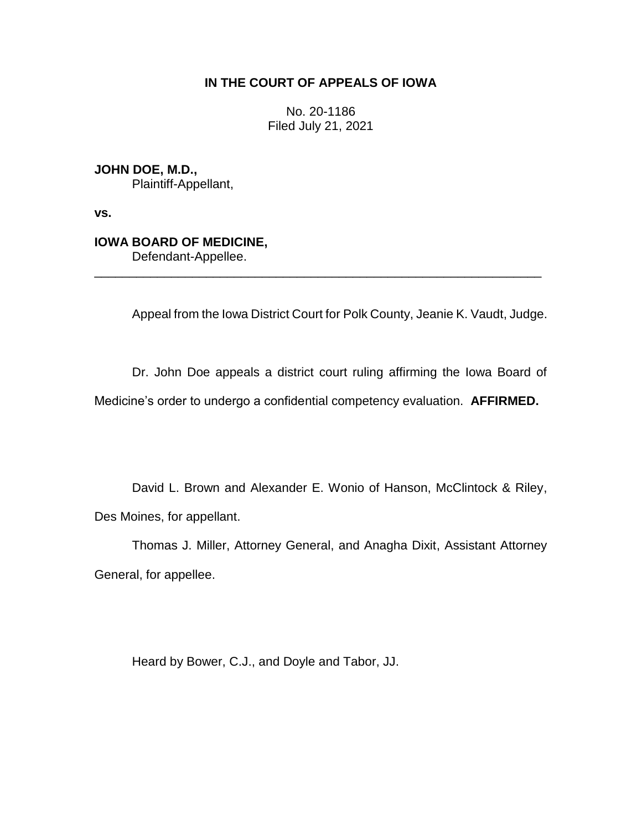# **IN THE COURT OF APPEALS OF IOWA**

No. 20-1186 Filed July 21, 2021

**JOHN DOE, M.D.,** Plaintiff-Appellant,

**vs.**

# **IOWA BOARD OF MEDICINE,**

Defendant-Appellee.

Appeal from the Iowa District Court for Polk County, Jeanie K. Vaudt, Judge.

Dr. John Doe appeals a district court ruling affirming the Iowa Board of

Medicine's order to undergo a confidential competency evaluation. **AFFIRMED.**

\_\_\_\_\_\_\_\_\_\_\_\_\_\_\_\_\_\_\_\_\_\_\_\_\_\_\_\_\_\_\_\_\_\_\_\_\_\_\_\_\_\_\_\_\_\_\_\_\_\_\_\_\_\_\_\_\_\_\_\_\_\_\_\_

David L. Brown and Alexander E. Wonio of Hanson, McClintock & Riley, Des Moines, for appellant.

Thomas J. Miller, Attorney General, and Anagha Dixit, Assistant Attorney General, for appellee.

Heard by Bower, C.J., and Doyle and Tabor, JJ.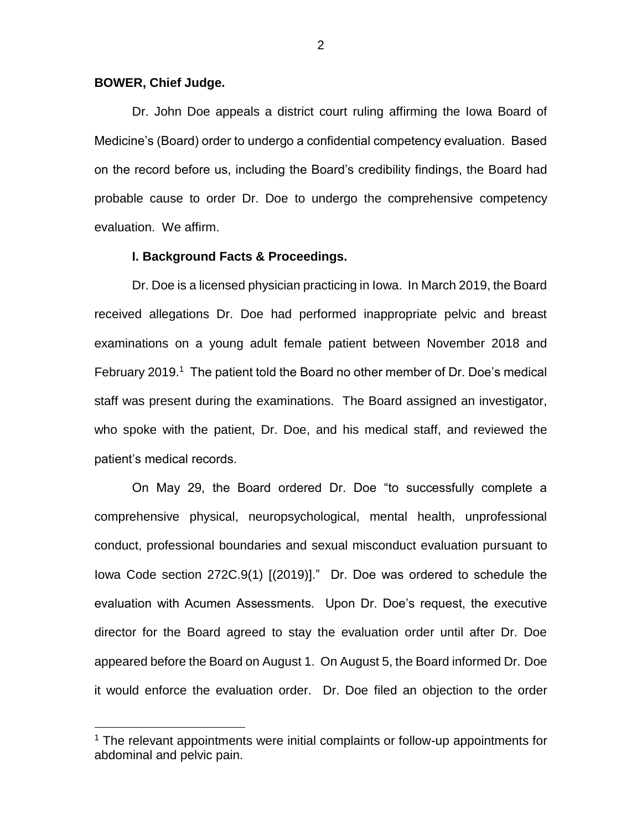## **BOWER, Chief Judge.**

 $\overline{a}$ 

Dr. John Doe appeals a district court ruling affirming the Iowa Board of Medicine's (Board) order to undergo a confidential competency evaluation. Based on the record before us, including the Board's credibility findings, the Board had probable cause to order Dr. Doe to undergo the comprehensive competency evaluation. We affirm.

### **I. Background Facts & Proceedings.**

Dr. Doe is a licensed physician practicing in Iowa. In March 2019, the Board received allegations Dr. Doe had performed inappropriate pelvic and breast examinations on a young adult female patient between November 2018 and February 2019.<sup>1</sup> The patient told the Board no other member of Dr. Doe's medical staff was present during the examinations. The Board assigned an investigator, who spoke with the patient, Dr. Doe, and his medical staff, and reviewed the patient's medical records.

On May 29, the Board ordered Dr. Doe "to successfully complete a comprehensive physical, neuropsychological, mental health, unprofessional conduct, professional boundaries and sexual misconduct evaluation pursuant to Iowa Code section 272C.9(1) [(2019)]." Dr. Doe was ordered to schedule the evaluation with Acumen Assessments. Upon Dr. Doe's request, the executive director for the Board agreed to stay the evaluation order until after Dr. Doe appeared before the Board on August 1. On August 5, the Board informed Dr. Doe it would enforce the evaluation order. Dr. Doe filed an objection to the order

<sup>&</sup>lt;sup>1</sup> The relevant appointments were initial complaints or follow-up appointments for abdominal and pelvic pain.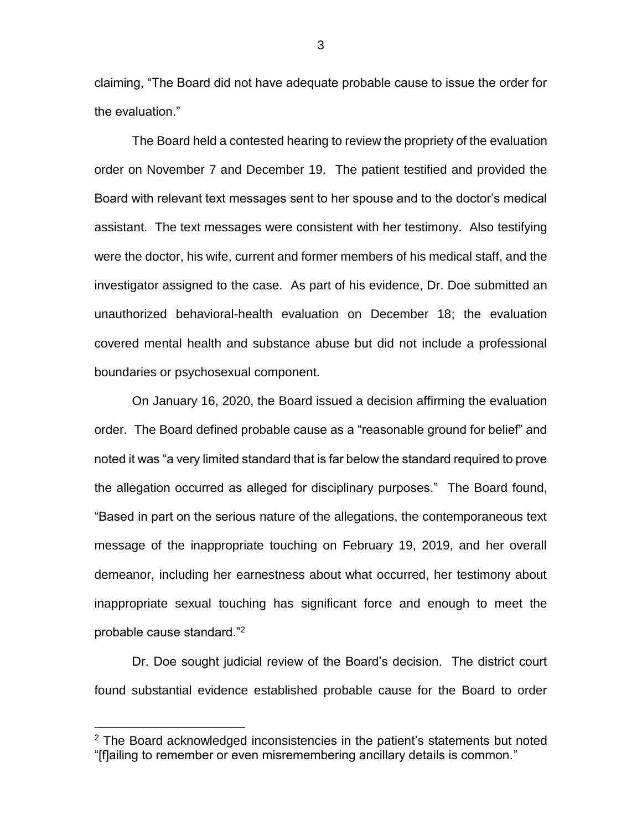claiming, "The Board did not have adequate probable cause to issue the order for the evaluation."

The Board held a contested hearing to review the propriety of the evaluation order on November 7 and December 19. The patient testified and provided the Board with relevant text messages sent to her spouse and to the doctor's medical assistant. The text messages were consistent with her testimony. Also testifying were the doctor, his wife, current and former members of his medical staff, and the investigator assigned to the case. As part of his evidence, Dr. Doe submitted an unauthorized behavioral-health evaluation on December 18; the evaluation covered mental health and substance abuse but did not include a professional boundaries or psychosexual component.

On January 16, 2020, the Board issued a decision affirming the evaluation order. The Board defined probable cause as a "reasonable ground for belief" and noted it was "a very limited standard that is far below the standard required to prove the allegation occurred as alleged for disciplinary purposes." The Board found, "Based in part on the serious nature of the allegations, the contemporaneous text message of the inappropriate touching on February 19, 2019, and her overall demeanor, including her earnestness about what occurred, her testimony about inappropriate sexual touching has significant force and enough to meet the probable cause standard."<sup>2</sup>

Dr. Doe sought judicial review of the Board's decision. The district court found substantial evidence established probable cause for the Board to order

 $\overline{a}$ 

3

 $2$  The Board acknowledged inconsistencies in the patient's statements but noted "[f]ailing to remember or even misremembering ancillary details is common."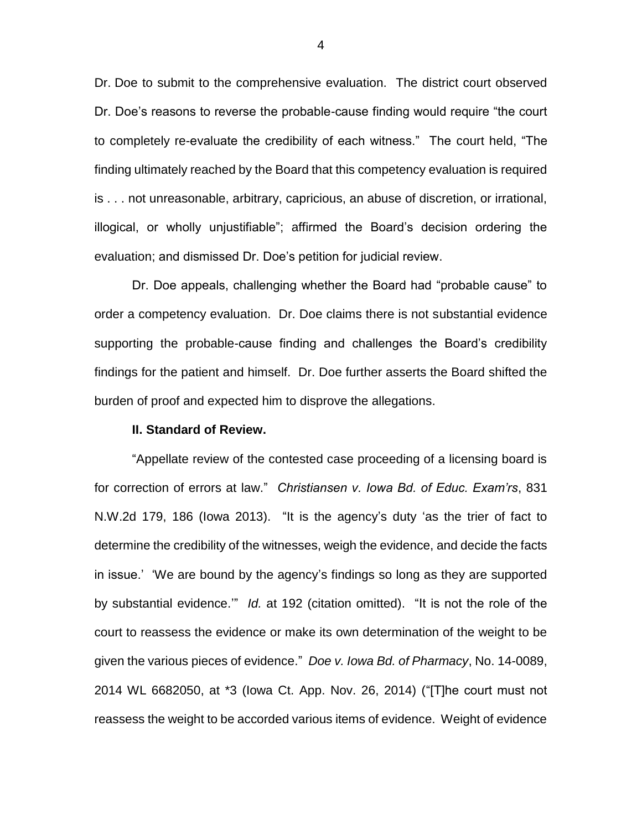Dr. Doe to submit to the comprehensive evaluation. The district court observed Dr. Doe's reasons to reverse the probable-cause finding would require "the court to completely re-evaluate the credibility of each witness." The court held, "The finding ultimately reached by the Board that this competency evaluation is required is . . . not unreasonable, arbitrary, capricious, an abuse of discretion, or irrational, illogical, or wholly unjustifiable"; affirmed the Board's decision ordering the evaluation; and dismissed Dr. Doe's petition for judicial review.

Dr. Doe appeals, challenging whether the Board had "probable cause" to order a competency evaluation. Dr. Doe claims there is not substantial evidence supporting the probable-cause finding and challenges the Board's credibility findings for the patient and himself. Dr. Doe further asserts the Board shifted the burden of proof and expected him to disprove the allegations.

#### **II. Standard of Review.**

"Appellate review of the contested case proceeding of a licensing board is for correction of errors at law." *Christiansen v. Iowa Bd. of Educ. Exam'rs*, 831 N.W.2d 179, 186 (Iowa 2013). "It is the agency's duty 'as the trier of fact to determine the credibility of the witnesses, weigh the evidence, and decide the facts in issue.' 'We are bound by the agency's findings so long as they are supported by substantial evidence.'" *Id.* at 192 (citation omitted). "It is not the role of the court to reassess the evidence or make its own determination of the weight to be given the various pieces of evidence." *Doe v. Iowa Bd. of Pharmacy*, No. 14-0089, 2014 WL 6682050, at \*3 (Iowa Ct. App. Nov. 26, 2014) ("[T]he court must not reassess the weight to be accorded various items of evidence. Weight of evidence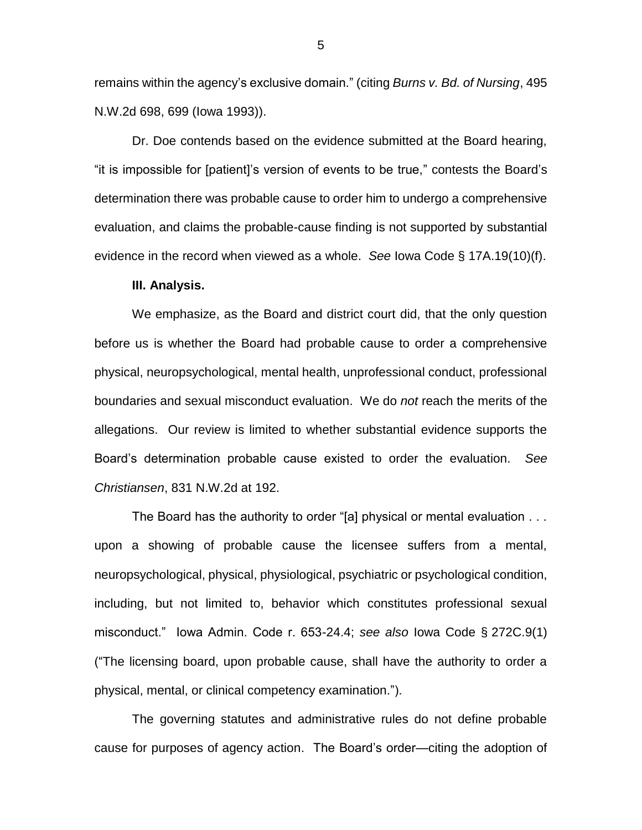remains within the agency's exclusive domain." (citing *Burns v. Bd. of Nursing*, 495 N.W.2d 698, 699 (Iowa 1993)).

Dr. Doe contends based on the evidence submitted at the Board hearing, "it is impossible for [patient]'s version of events to be true," contests the Board's determination there was probable cause to order him to undergo a comprehensive evaluation, and claims the probable-cause finding is not supported by substantial evidence in the record when viewed as a whole. *See* Iowa Code § 17A.19(10)(f).

#### **III. Analysis.**

We emphasize, as the Board and district court did, that the only question before us is whether the Board had probable cause to order a comprehensive physical, neuropsychological, mental health, unprofessional conduct, professional boundaries and sexual misconduct evaluation. We do *not* reach the merits of the allegations. Our review is limited to whether substantial evidence supports the Board's determination probable cause existed to order the evaluation. *See Christiansen*, 831 N.W.2d at 192.

The Board has the authority to order "[a] physical or mental evaluation . . . upon a showing of probable cause the licensee suffers from a mental, neuropsychological, physical, physiological, psychiatric or psychological condition, including, but not limited to, behavior which constitutes professional sexual misconduct." Iowa Admin. Code r. 653-24.4; *see also* Iowa Code § 272C.9(1) ("The licensing board, upon probable cause, shall have the authority to order a physical, mental, or clinical competency examination.").

The governing statutes and administrative rules do not define probable cause for purposes of agency action. The Board's order—citing the adoption of

5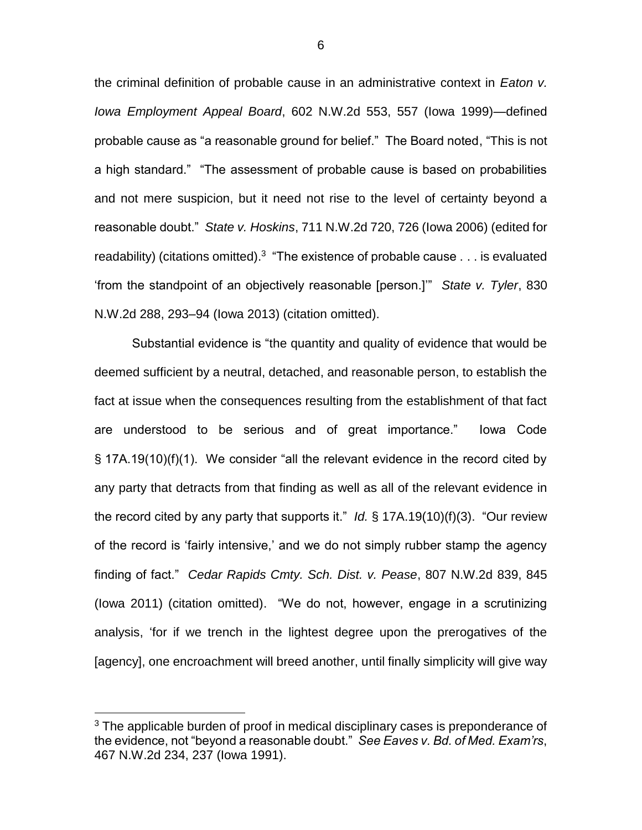the criminal definition of probable cause in an administrative context in *Eaton v. Iowa Employment Appeal Board*, 602 N.W.2d 553, 557 (Iowa 1999)—defined probable cause as "a reasonable ground for belief." The Board noted, "This is not a high standard." "The assessment of probable cause is based on probabilities and not mere suspicion, but it need not rise to the level of certainty beyond a reasonable doubt." *State v. Hoskins*, 711 N.W.2d 720, 726 (Iowa 2006) (edited for readability) (citations omitted).<sup>3</sup> "The existence of probable cause  $\dots$  is evaluated 'from the standpoint of an objectively reasonable [person.]'" *State v. Tyler*, 830 N.W.2d 288, 293–94 (Iowa 2013) (citation omitted).

Substantial evidence is "the quantity and quality of evidence that would be deemed sufficient by a neutral, detached, and reasonable person, to establish the fact at issue when the consequences resulting from the establishment of that fact are understood to be serious and of great importance." Iowa Code § 17A.19(10)(f)(1). We consider "all the relevant evidence in the record cited by any party that detracts from that finding as well as all of the relevant evidence in the record cited by any party that supports it." *Id.* § 17A.19(10)(f)(3). "Our review of the record is 'fairly intensive,' and we do not simply rubber stamp the agency finding of fact." *Cedar Rapids Cmty. Sch. Dist. v. Pease*, 807 N.W.2d 839, 845 (Iowa 2011) (citation omitted). "We do not, however, engage in a scrutinizing analysis, 'for if we trench in the lightest degree upon the prerogatives of the [agency], one encroachment will breed another, until finally simplicity will give way

 $\overline{a}$ 

<sup>&</sup>lt;sup>3</sup> The applicable burden of proof in medical disciplinary cases is preponderance of the evidence, not "beyond a reasonable doubt." *See Eaves v. Bd. of Med. Exam'rs*, 467 N.W.2d 234, 237 (Iowa 1991).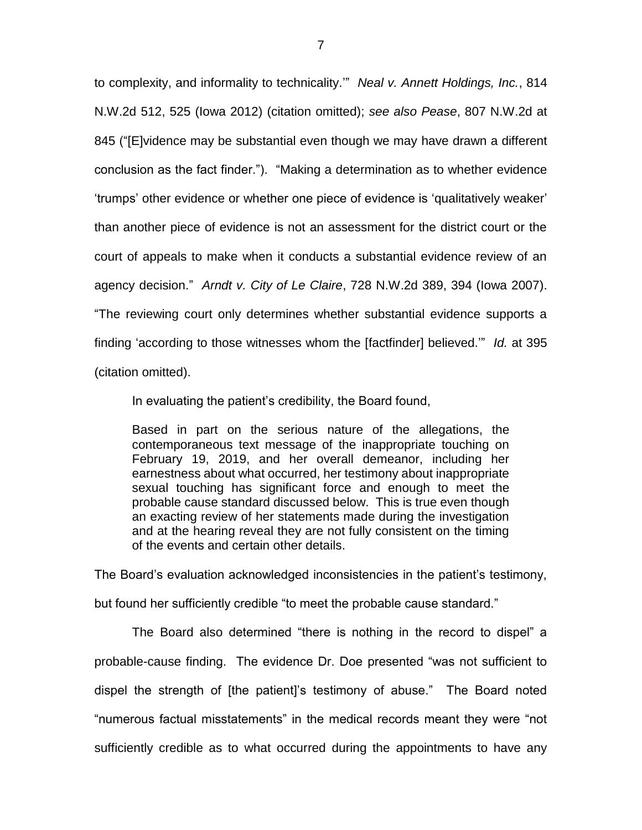to complexity, and informality to technicality.'" *Neal v. Annett Holdings, Inc.*, 814 N.W.2d 512, 525 (Iowa 2012) (citation omitted); *see also Pease*, 807 N.W.2d at 845 ("[E]vidence may be substantial even though we may have drawn a different conclusion as the fact finder."). "Making a determination as to whether evidence 'trumps' other evidence or whether one piece of evidence is 'qualitatively weaker' than another piece of evidence is not an assessment for the district court or the court of appeals to make when it conducts a substantial evidence review of an agency decision." *Arndt v. City of Le Claire*, 728 N.W.2d 389, 394 (Iowa 2007). "The reviewing court only determines whether substantial evidence supports a finding 'according to those witnesses whom the [factfinder] believed.'" *Id.* at 395 (citation omitted).

In evaluating the patient's credibility, the Board found,

Based in part on the serious nature of the allegations, the contemporaneous text message of the inappropriate touching on February 19, 2019, and her overall demeanor, including her earnestness about what occurred, her testimony about inappropriate sexual touching has significant force and enough to meet the probable cause standard discussed below. This is true even though an exacting review of her statements made during the investigation and at the hearing reveal they are not fully consistent on the timing of the events and certain other details.

The Board's evaluation acknowledged inconsistencies in the patient's testimony, but found her sufficiently credible "to meet the probable cause standard."

The Board also determined "there is nothing in the record to dispel" a probable-cause finding. The evidence Dr. Doe presented "was not sufficient to dispel the strength of [the patient]'s testimony of abuse." The Board noted "numerous factual misstatements" in the medical records meant they were "not sufficiently credible as to what occurred during the appointments to have any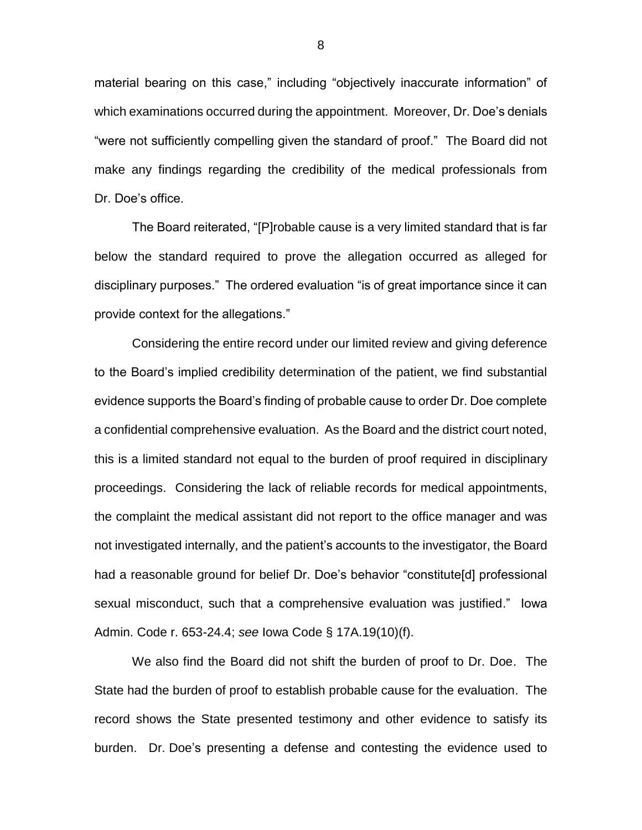material bearing on this case," including "objectively inaccurate information" of which examinations occurred during the appointment. Moreover, Dr. Doe's denials "were not sufficiently compelling given the standard of proof." The Board did not make any findings regarding the credibility of the medical professionals from Dr. Doe's office.

The Board reiterated, "[P]robable cause is a very limited standard that is far below the standard required to prove the allegation occurred as alleged for disciplinary purposes." The ordered evaluation "is of great importance since it can provide context for the allegations."

Considering the entire record under our limited review and giving deference to the Board's implied credibility determination of the patient, we find substantial evidence supports the Board's finding of probable cause to order Dr. Doe complete a confidential comprehensive evaluation. As the Board and the district court noted, this is a limited standard not equal to the burden of proof required in disciplinary proceedings. Considering the lack of reliable records for medical appointments, the complaint the medical assistant did not report to the office manager and was not investigated internally, and the patient's accounts to the investigator, the Board had a reasonable ground for belief Dr. Doe's behavior "constitute[d] professional sexual misconduct, such that a comprehensive evaluation was justified." Iowa Admin. Code r. 653-24.4; *see* Iowa Code § 17A.19(10)(f).

We also find the Board did not shift the burden of proof to Dr. Doe. The State had the burden of proof to establish probable cause for the evaluation. The record shows the State presented testimony and other evidence to satisfy its burden. Dr. Doe's presenting a defense and contesting the evidence used to